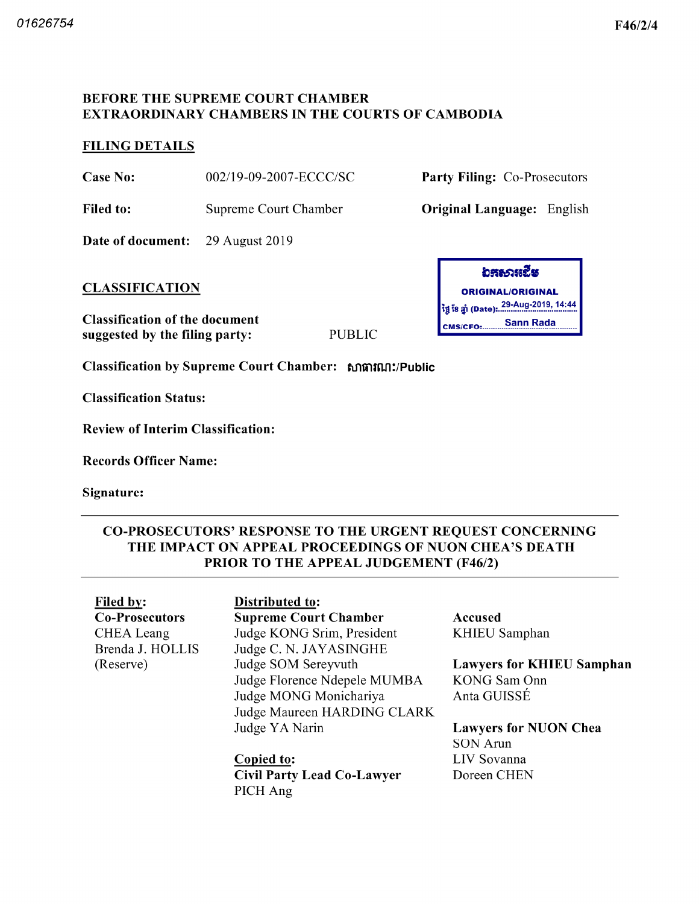### BEFORE THE SUPREME COURT CHAMBER EXTRAORDINARY CHAMBERS IN THE COURTS OF CAMBODIA

# FILING DETAILS

Case No:  $002/19-09-2007-ECCC/SC$  Party Filing: Co-Prosecutors

Filed to: Supreme Court Chamber **Original Language:** English

Date of document: 29 August 2019

Classification of the document suggested by the filing party

Classification by Supreme Court Chamber: សាធារណ:/Public

Classification Status

Review of Interim Classification

Records Officer Name

Signature

# CO PROSECUTORS' RESPONSE TO THE URGENT REQUEST CONCERNING THE IMPACT ON APPEAL PROCEEDINGS OF NUON CHEA'S DEATH PRIOR TO THE APPEAL JUDGEMENT (F46/2)

PUBLIC

Filed by: Distributed to: Co-Prosecutors CHEA Leang Brenda J. HOLLIS Reserve

Supreme Court Chamber Judge KONG Srim, President Judge C. N. JAYASINGHE Judge SOM Sereyvuth Judge Florence Ndepele MUMBA Judge MONG Monichariya Judge Maureen HARDING CLARK Judge YA Narin

Copied to Civil Party Lead Co Lawyer PICH Ang

อสธวเเฉีย <u>CLASSIFICATION</u> ORIGINAL ORIGINAL ORIGINAL ORIGINAL ថ្ងៃ ខែ ឆ្នាំ (Date): 29-Aug-2019, 14:44 Sann Rada CMS/CFO:.......

> Accused KHIEU Samphan

Lawyers for KHIEU Samphan KONG Sam Onn Anta GUISSÉ

Lawyers for NUON Chea SON Arun LIV Sovanna Doreen CHEN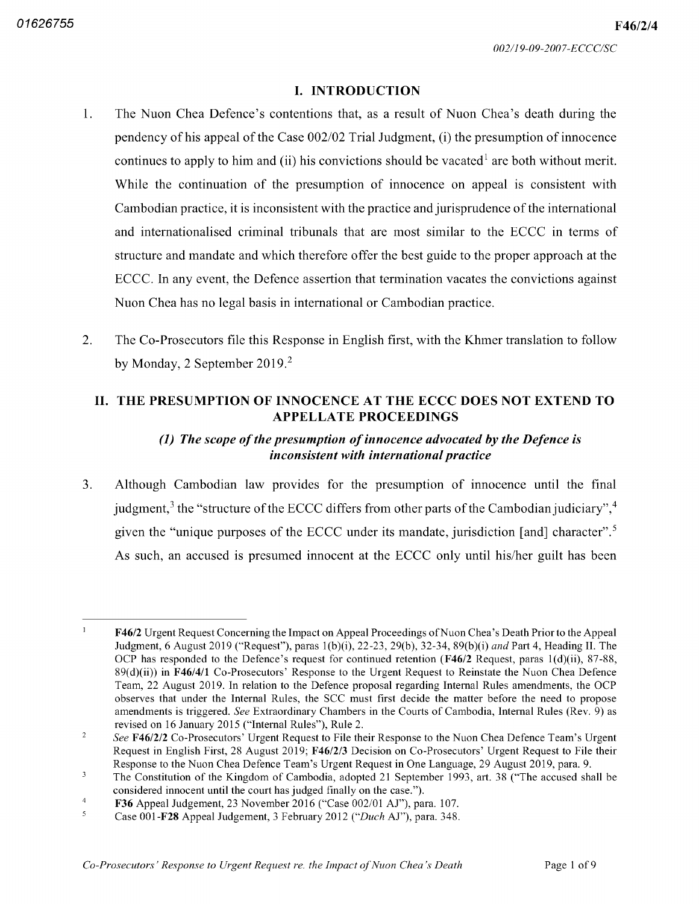F46/2/4

### **I. INTRODUCTION**

- $1.$ The Nuon Chea Defence's contentions that, as a result of Nuon Chea's death during the pendency of his appeal of the Case  $002/02$  Trial Judgment, (i) the presumption of innocence continues to apply to him and (ii) his convictions should be vacated<sup>1</sup> are both without merit. While the continuation of the presumption of innocence on appeal is consistent with Cambodian practice it is inconsistent with the practice and jurisprudence of the international and internationalised criminal tribunals that are most similar to the ECCC in terms of structure and mandate and which therefore offer the best guide to the proper approach at the ECCC. In any event, the Defence assertion that termination vacates the convictions against Nuon Chea has no legal basis in international or Cambodian practice
- $2.$ The Co-Prosecutors file this Response in English first, with the Khmer translation to follow by Monday, 2 September 2019.<sup>2</sup>

## II. THE PRESUMPTION OF INNOCENCE AT THE ECCC DOES NOT EXTEND TO APPELLATE PROCEEDINGS

# (1) The scope of the presumption of innocence advocated by the Defence is inconsistent with international practice

3. Although Cambodian law provides for the presumption of innocence until the final judgment,<sup>3</sup> the "structure of the ECCC differs from other parts of the Cambodian judiciary",<sup>4</sup> given the "unique purposes of the ECCC under its mandate, jurisdiction [and] character".<sup>5</sup> As such, an accused is presumed innocent at the ECCC only until his/her guilt has been

 $\mathbf{1}$ F46/2 Urgent Request Concerning the Impact on Appeal Proceedings of Nuon Chea's Death Prior to the Appeal Judgment, 6 August 2019 ("Request"), paras 1(b)(i), 22-23, 29(b), 32-34, 89(b)(i) *and* Part 4, Heading II. The OCP has responded to the Defence's request for continued retention ( $F46/2$  Request, paras 1(d)(ii), 87-88,  $89(d)(ii)$  in F46/4/1 Co-Prosecutors' Response to the Urgent Request to Reinstate the Nuon Chea Defence Team, 22 August 2019. In relation to the Defence proposal regarding Internal Rules amendments, the OCP observes that under the Internal Rules, the SCC must first decide the matter before the need to propose amendments is triggered. See Extraordinary Chambers in the Courts of Cambodia, Internal Rules (Rev. 9) as revised on 16 January 2015 ("Internal Rules"), Rule 2.

 $\overline{2}$ See F46/2/2 Co-Prosecutors' Urgent Request to File their Response to the Nuon Chea Defence Team's Urgent Request in English First, 28 August 2019; F46/2/3 Decision on Co-Prosecutors' Urgent Request to File their Response to the Nuon Chea Defence Team's Urgent Request in One Language, 29 August 2019, para. 9.

 $\mathbf 3$ The Constitution of the Kingdom of Cambodia adopted <sup>21</sup> September 1993 art 38 "The accused shall be considered innocent until the court has judged finally on the case.").

 $\overline{4}$ F36 Appeal Judgement, 23 November 2016 ("Case 002/01 AJ"), para. 107.

<sup>5</sup> Case 001-**F28** Appeal Judgement, 3 February 2012 ("*Duch* AJ"), para. 348.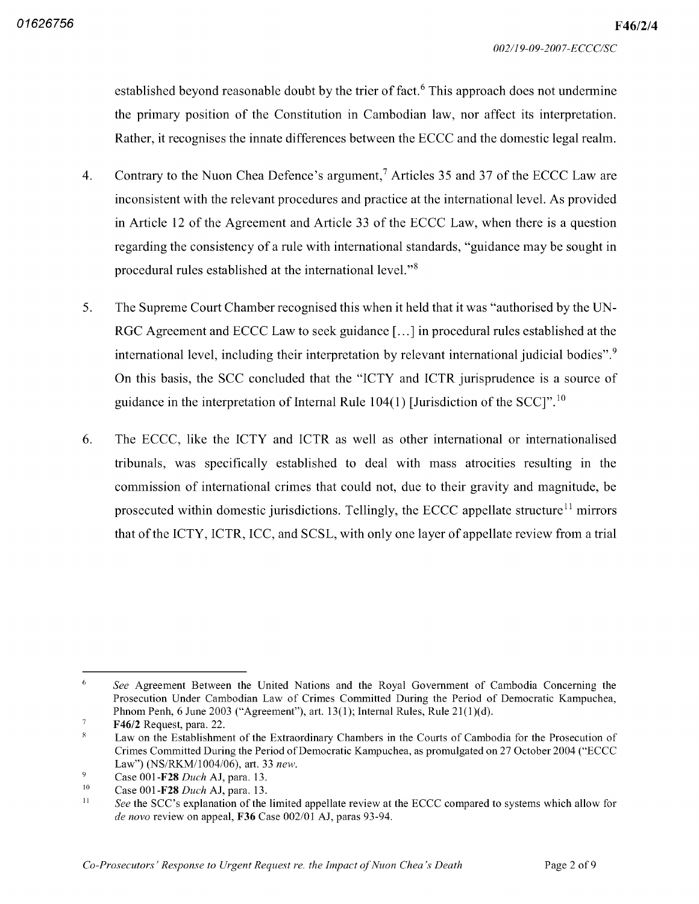established beyond reasonable doubt by the trier of fact.<sup>6</sup> This approach does not undermine the primary position of the Constitution in Cambodian law nor affect its interpretation Rather, it recognises the innate differences between the ECCC and the domestic legal realm.

- Contrary to the Nuon Chea Defence's argument,<sup>7</sup> Articles 35 and 37 of the ECCC Law are  $4.$ inconsistent with the relevant procedures and practice at the international level As provided in Article <sup>12</sup> of the Agreement and Article <sup>33</sup> of the ECCC Law when there is question regarding the consistency of a rule with international standards, "guidance may be sought in procedural rules established at the international level."<sup>8</sup>
- 5. The Supreme Court Chamber recognised this when it held that it was "authorised by the UN RGC Agreement and ECCC Law to seek guidance  $[...]$  in procedural rules established at the international level, including their interpretation by relevant international judicial bodies". $9$ On this basis, the SCC concluded that the "ICTY and ICTR jurisprudence is a source of guidance in the interpretation of Internal Rule  $104(1)$  [Jurisdiction of the SCC]".<sup>10</sup>
- 6. The ECCC like the ICTY and ICTR as well as other international or internationalised tribunals was specifically established to deal with mass atrocities resulting in the commission of international crimes that could not, due to their gravity and magnitude, be prosecuted within domestic jurisdictions. Tellingly, the ECCC appellate structure<sup>11</sup> mirrors that of the ICTY, ICTR, ICC, and SCSL, with only one layer of appellate review from a trial

<sup>6</sup> See Agreement Between the United Nations and the Royal Government of Cambodia Concerning the Prosecution Under Cambodian Law of Crimes Committed During the Period of Democratic Kampuchea Phnom Penh, 6 June 2003 ("Agreement"), art. 13(1); Internal Rules, Rule 21(1)(d).

 $\overline{7}$ F46/2 Request, para. 22.

Law on the Establishment of the Extraordinary Chambers in the Courts of Cambodia for the Prosecution of Crimes Committed During the Period of Democratic Kampuchea as promulgated on <sup>27</sup> October <sup>2004</sup> "ECCC Law") (NS/RKM/1004/06), art. 33 new.

 $\mathbf{Q}$ Case 001-**F28** Duch AJ, para. 13.

Case 001-**F28** Duch AJ, para. 13. 10

See the SCC's explanation of the limited appellate review at the ECCC compared to systems which allow for *de novo* review on appeal, **F36** Case 002/01 AJ, paras 93-94. 11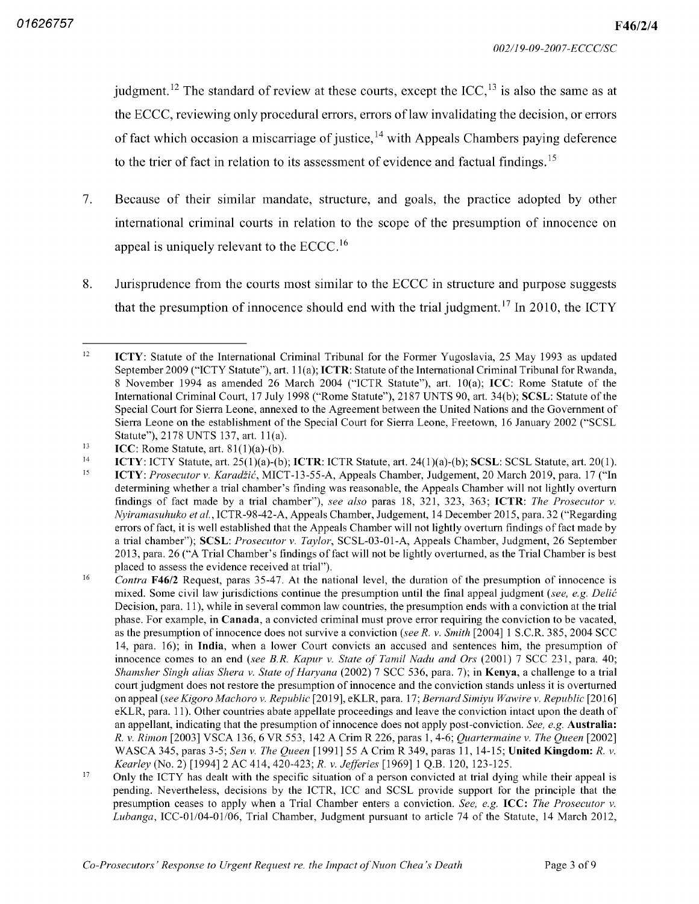judgment.<sup>12</sup> The standard of review at these courts, except the  $ICC<sub>13</sub>$  is also the same as at the ECCC, reviewing only procedural errors, errors of law invalidating the decision, or errors of fact which occasion a miscarriage of justice,  $14$  with Appeals Chambers paying deference to the trier of fact in relation to its assessment of evidence and factual findings.<sup>15</sup>

- $7.$ Because of their similar mandate, structure, and goals, the practice adopted by other international criminal courts in relation to the scope of the presumption of innocence on appeal is uniquely relevant to the  $\text{ECCC.}^{16}$
- 8. Jurisprudence from the courts most similar to the ECCC in structure and purpose suggests that the presumption of innocence should end with the trial judgment.<sup>17</sup> In 2010, the ICTY

ICTY: ICTY Statute, art.  $25(1)(a)$ -(b); ICTR: ICTR Statute, art.  $24(1)(a)$ -(b); SCSL: SCSL Statute, art.  $20(1)$ . 14

<sup>12</sup> ICTY: Statute of the International Criminal Tribunal for the Former Yugoslavia, 25 May 1993 as updated September 2009 ("ICTY Statute"), art. 11(a); ICTR: Statute of the International Criminal Tribunal for Rwanda, 8 November 1994 as amended 26 March 2004 ("ICTR Statute"), art.  $10(a)$ ; ICC: Rome Statute of the International Criminal Court, 17 July 1998 ("Rome Statute"), 2187 UNTS 90, art. 34(b); SCSL: Statute of the Special Court for Sierra Leone, annexed to the Agreement between the United Nations and the Government of Sierra Leone on the establishment of the Special Court for Sierra Leone Freetown <sup>16</sup> January 2002 "SCSL Statute"), 2178 UNTS 137, art. 11(a).

ICC: Rome Statute, art.  $81(1)(a)-(b)$ . 13

ICTY: Prosecutor v. Karadžić, MICT-13-55-A, Appeals Chamber, Judgement, 20 March 2019, para. 17 ("In determining whether a trial chamber's finding was reasonable, the Appeals Chamber will not lightly overturn findings of fact made by a trial chamber"), see also paras 18, 321, 323, 363; ICTR: The Prosecutor Nyiramasuhuko et al., ICTR-98-42-A, Appeals Chamber, Judgement, 14 December 2015, para. 32 ("Regarding errors of fact it is well established that the Appeals Chamber will not lightly overturn findings of fact made by a trial chamber"); SCSL: Prosecutor v. Taylor, SCSL-03-01-A, Appeals Chamber, Judgment, 26 September 2013, para. 26 ("A Trial Chamber's findings of fact will not be lightly overturned, as the Trial Chamber is best placed to assess the evidence received at trial" 15

*Contra* **F46/2** Request, paras 35-47. At the national level, the duration of the presumption of innocence is mixed. Some civil law jurisdictions continue the presumption until the final appeal judgment (see, e.g. Delic Decision, para. 11), while in several common law countries, the presumption ends with a conviction at the trial phase. For example, in Canada, a convicted criminal must prove error requiring the conviction to be vacated, as the presumption of innocence does not survive a conviction (see R. v. Smith [2004] 1 S.C.R. 385, 2004 SCC 14, para. 16); in India, when a lower Court convicts an accused and sentences him, the presumption of innocence comes to an end (see B.R. Kapur v. State of Tamil Nadu and Ors (2001) 7 SCC 231, para. 40; Shamsher Singh alias Shera v. State of Haryana (2002) 7 SCC 536, para. 7); in **Kenya**, a challenge to a trial court judgment does not restore the presumption of innocence and the conviction stands unless it is overturned on appeal (see Kigoro Machoro v. Republic [2019], eKLR, para. 17; Bernard Simiyu Wawire v. Republic [2016] eKLR, para. 11). Other countries abate appellate proceedings and leave the conviction intact upon the death of an appellant, indicating that the presumption of innocence does not apply post-conviction. See, e.g. **Australia**: R. v. Rimon [2003] VSCA 136, 6 VR 553, 142 A Crim R 226, paras 1, 4-6; Quartermaine v. The Queen [2002] WASCA 345, paras 3-5; Sen v. The Queen [1991] 55 A Crim R 349, paras 11, 14-15; United Kingdom: Kearley (No. 2) [1994] 2 AC 414, 420-423; R. v. Jefferies [1969] 1 Q.B. 120, 123-125. 16

Only the ICTY has dealt with the specific situation of a person convicted at trial dying while their appeal is pending. Nevertheless, decisions by the ICTR, ICC and SCSL provide support for the principle that the presumption ceases to apply when a Trial Chamber enters a conviction. See, e.g. ICC: The Prosecutor  $v$ . Lubanga, ICC-01/04-01/06, Trial Chamber, Judgment pursuant to article 74 of the Statute, 14 March 2012, 17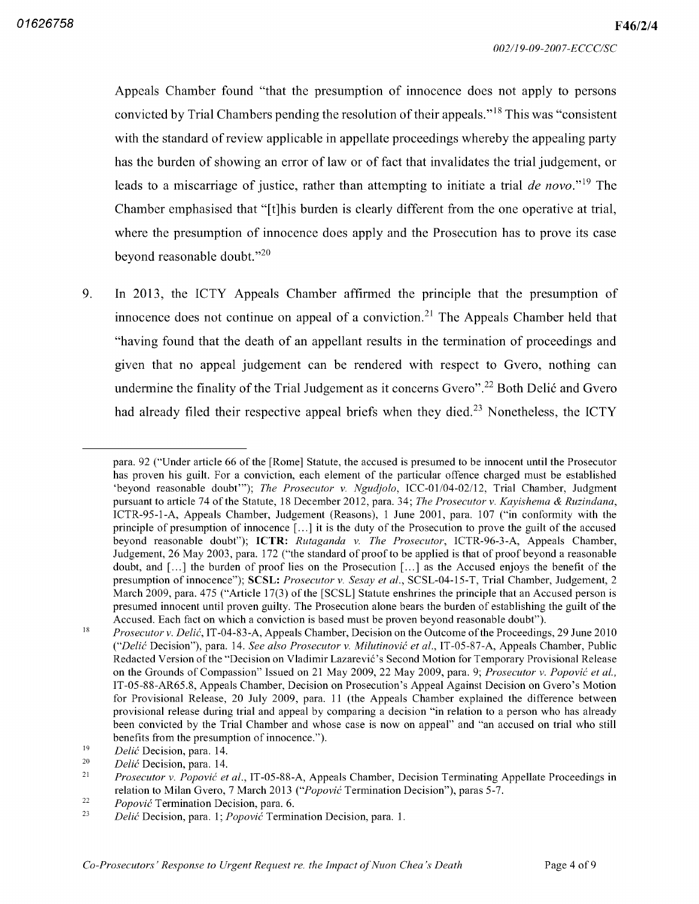Appeals Chamber found "that the presumption of innocence does not apply to persons convicted by Trial Chambers pending the resolution of their appeals."<sup>18</sup> This was "consistent with the standard of review applicable in appellate proceedings whereby the appealing party has the burden of showing an error of law or of fact that invalidates the trial judgement, or leads to a miscarriage of justice, rather than attempting to initiate a trial  $de novo$ ."<sup>19</sup> The Chamber emphasised that "[t]his burden is clearly different from the one operative at trial where the presumption of innocence does apply and the Prosecution has to prove its case beyond reasonable doubt."<sup>20</sup>

9. In 2013 the ICTY Appeals Chamber affirmed the principle that the presumption of innocence does not continue on appeal of a conviction.<sup>21</sup> The Appeals Chamber held that "having found that the death of an appellant results in the termination of proceedings and given that no appeal judgement can be rendered with respect to Gvero, nothing can undermine the finality of the Trial Judgement as it concerns Gvero".<sup>22</sup> Both Delić and Gvero had already filed their respective appeal briefs when they died.<sup>23</sup> Nonetheless, the ICTY

para. 92 ("Under article 66 of the [Rome] Statute, the accused is presumed to be innocent until the Prosecutor has proven his guilt. For a conviction, each element of the particular offence charged must be established 'beyond reasonable doubt'"); The Prosecutor v. Ngudjolo, ICC-01/04-02/12, Trial Chamber, Judgment pursuant to article 74 of the Statute, 18 December 2012, para. 34; *The Prosecutor v. Kayishema & Ruzindana*, ICTR-95-1-A, Appeals Chamber, Judgement (Reasons), 1 June 2001, para. 107 ("in conformity with the principle of presumption of innocence  $[\dots]$  it is the duty of the Prosecution to prove the guilt of the accused beyond reasonable doubt"); ICTR: Rutaganda v. The Prosecutor, ICTR-96-3-A, Appeals Chamber, Judgement, 26 May 2003, para. 172 ("the standard of proof to be applied is that of proof beyond a reasonable doubt, and  $\lceil \ldots \rceil$  the burden of proof lies on the Prosecution  $\lceil \ldots \rceil$  as the Accused enjoys the benefit of the presumption of innocence"); SCSL: Prosecutor v. Sesay et al., SCSL-04-15-T, Trial Chamber, Judgement, 2 March 2009, para. 475 ("Article 17(3) of the [SCSL] Statute enshrines the principle that an Accused person is presumed innocent until proven guilty The Prosecution alone bears the burden of establishing the guilt of the Accused. Each fact on which a conviction is based must be proven beyond reasonable doubt").

Prosecutor v. Delić, IT-04-83-A, Appeals Chamber, Decision on the Outcome of the Proceedings, 29 June 2010 "Delić Decision"), para. 14. *See also Prosecutor v. Milutinović et al.*, IT-05-87-A, Appeals Chamber, Public Redacted Version of the "Decision on Vladimir Lazarevic's Second Motion for Temporary Provisional Release on the Grounds of Compassion" Issued on 21 May 2009, 22 May 2009, para. 9; *Prosecutor v. Popović et al.*, IT-05-88-AR65.8, Appeals Chamber, Decision on Prosecution's Appeal Against Decision on Gvero's Motion for Provisional Release, 20 July 2009, para. 11 (the Appeals Chamber explained the difference between provisional release during trial and appeal by comparing a decision "in relation to a person who has already been convicted by the Trial Chamber and whose case is now on appeal" and "an accused on trial who still benefits from the presumption of innocence."). 18

*Delić* Decision, para. 14. 19

Delić Decision, para. 14. 20

Prosecutor v. Popović et al., IT-05-88-A, Appeals Chamber, Decision Terminating Appellate Proceedings in relation to Milan Gvero, 7 March 2013 ("Popović Termination Decision"), paras 5-7. 21

Popović Termination Decision, para. 6. 22

Delić Decision, para. 1; Popović Termination Decision, para. 1. 23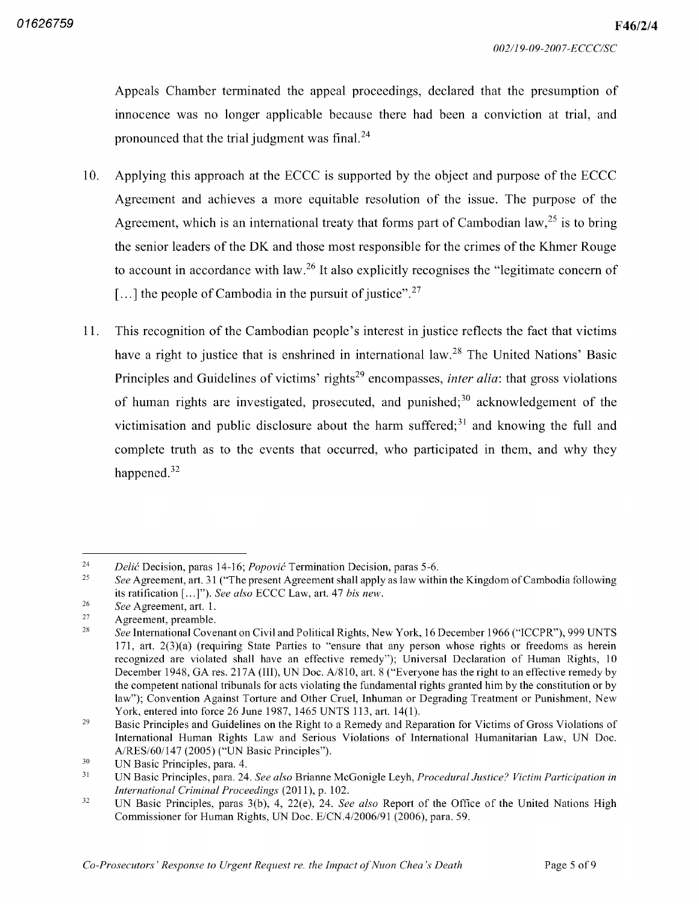Appeals Chamber terminated the appeal proceedings declared that the presumption of innocence was no longer applicable because there had been a conviction at trial, and pronounced that the trial judgment was final.<sup>24</sup>

- <sup>10</sup> Applying this approach at the ECCC is supported by the object and purpose of the ECCC Agreement and achieves a more equitable resolution of the issue. The purpose of the Agreement, which is an international treaty that forms part of Cambodian  $law, <sup>25</sup>$  is to bring the senior leaders of the DK and those most responsible for the crimes of the Khmer Rouge to account in accordance with law.<sup>26</sup> It also explicitly recognises the "legitimate concern of the people of Cambodia in the pursuit of justice".<sup>27</sup>
- This recognition of the Cambodian people's interest in justice reflects the fact that victims have a right to justice that is enshrined in international law.<sup>28</sup> The United Nations' Basic Principles and Guidelines of victims' rights<sup>29</sup> encompasses, *inter alia*: that gross violations of human rights are investigated, prosecuted, and punished; $30$  acknowledgement of the victimisation and public disclosure about the harm suffered; $31$  and knowing the full and complete truth as to the events that occurred, who participated in them, and why they happened.<sup>32</sup> 11

<sup>24</sup> Delić Decision, paras 14-16; *Popović* Termination Decision, paras

See Agreement, art. 31 ("The present Agreement shall apply as law within the Kingdom of Cambodia following its ratification [...]"). See also ECCC Law, art. 47 bis new. 25

See Agreement, art. 1. 26

Agreement, preamble. 27

See International Covenant on Civil and Political Rights, New York, 16 December 1966 ("ICCPR"), 999 UNTS 171, art.  $2(3)(a)$  (requiring State Parties to "ensure that any person whose rights or freedoms as herein recognized are violated shall have an effective remedy"); Universal Declaration of Human Rights, 10 December 1948, GA res. 217A (III), UN Doc. A/810, art. 8 ("Everyone has the right to an effective remedy by the competent national tribunals for acts violating the fundamental rights granted him by the constitution or by law"); Convention Against Torture and Other Cruel, Inhuman or Degrading Treatment or Punishment, New York, entered into force 26 June 1987, 1465 UNTS 113, art. 14(1). 28

Basic Principles and Guidelines on the Right to a Remedy and Reparation for Victims of Gross Violations of International Human Rights Law and Serious Violations of International Humanitarian Law, UN Doc. A/RES/60/147 (2005) ("UN Basic Principles"). 29

UN Basic Principles, para. 4. 30

UN Basic Principles, para. 24. See also Brianne McGonigle Leyh, Procedural Justice? Victim Participation in International Criminal Proceedings  $(2011)$ , p. 102. 31

UN Basic Principles, paras 3(b), 4, 22(e), 24. See also Report of the Office of the United Nations High Commissioner for Human Rights, UN Doc. E/CN.4/2006/91 (2006), para. 59. 32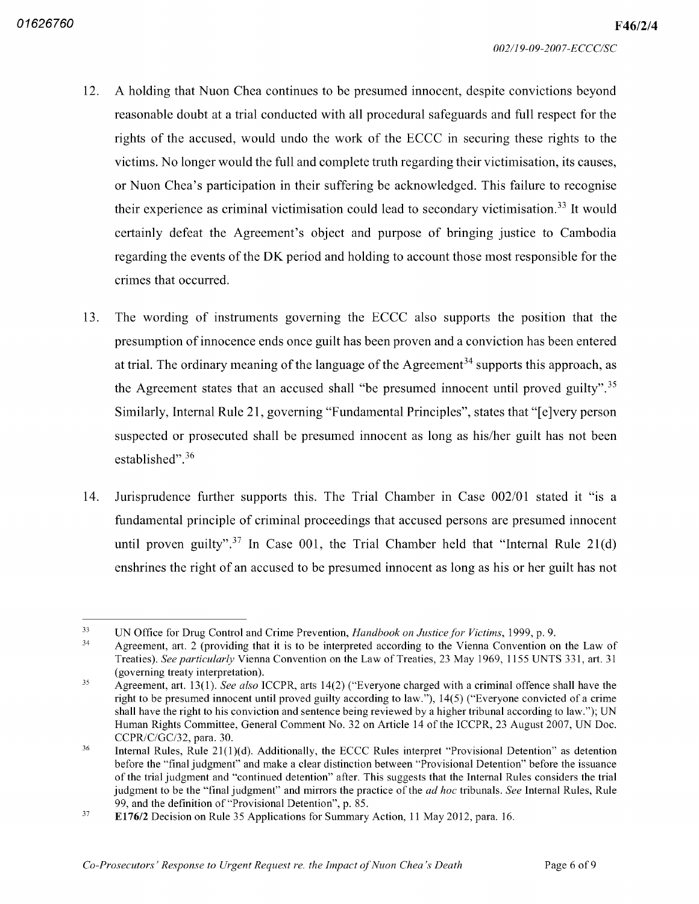- A holding that Nuon Chea continues to be presumed innocent, despite convictions beyond reasonable doubt at a trial conducted with all procedural safeguards and full respect for the rights of the accused, would undo the work of the ECCC in securing these rights to the victims. No longer would the full and complete truth regarding their victimisation, its causes, or Nuon Chea's participation in their suffering be acknowledged This failure to recognise their experience as criminal victimisation could lead to secondary victimisation.<sup>33</sup> It would certainly defeat the Agreement's object and purpose of bringing justice to Cambodia regarding the events of the DK period and holding to account those most responsible for the crimes that occurred 12
- The wording of instruments governing the ECCC also supports the position that the presumption of innocence ends once guilt has been proven and conviction has been entered at trial. The ordinary meaning of the language of the Agreement<sup>34</sup> supports this approach, as the Agreement states that an accused shall "be presumed innocent until proved guilty".<sup>35</sup> Similarly, Internal Rule 21, governing "Fundamental Principles", states that "[e]very person suspected or prosecuted shall be presumed innocent as long as his/her guilt has not been established".<sup>36</sup> 13
- Jurisprudence further supports this. The Trial Chamber in Case  $002/01$  stated it "is a fundamental principle of criminal proceedings that accused persons are presumed innocent until proven guilty".<sup>37</sup> In Case 001, the Trial Chamber held that "Internal Rule 21 enshrines the right of an accused to be presumed innocent as long as his or her guilt has not 14

<sup>33</sup> UN Office for Drug Control and Crime Prevention, Handbook on Justice for Victims, 1999, p. 9.

Agreement, art. 2 (providing that it is to be interpreted according to the Vienna Convention on the Law of Treaties). See particularly Vienna Convention on the Law of Treaties, 23 May 1969, 1155 UNTS 331, art. 31 governing treaty interpretation 34

Agreement, art.  $13(1)$ . See also ICCPR, arts  $14(2)$  ("Everyone charged with a criminal offence shall have the right to be presumed innocent until proved guilty according to law."),  $14(5)$  ("Everyone convicted of a crime shall have the right to his conviction and sentence being reviewed by a higher tribunal according to law."); UN Human Rights Committee, General Comment No. 32 on Article 14 of the ICCPR, 23 August 2007, UN Doc. CCPR/C/GC/32, para. 30. 35

Internal Rules, Rule  $21(1)(d)$ . Additionally, the ECCC Rules interpret "Provisional Detention" as detention before the "final judgment" and make a clear distinction between "Provisional Detention" before the issuance of the trial judgment and "continued detention" after. This suggests that the Internal Rules considers the trial judgment to be the "final judgment" and mirrors the practice of the *ad hoc* tribunals. See Internal Rules, Rule 99, and the definition of "Provisional Detention", p. 85. 36

E176/2 Decision on Rule 35 Applications for Summary Action, 11 May 2012, para. 16. 37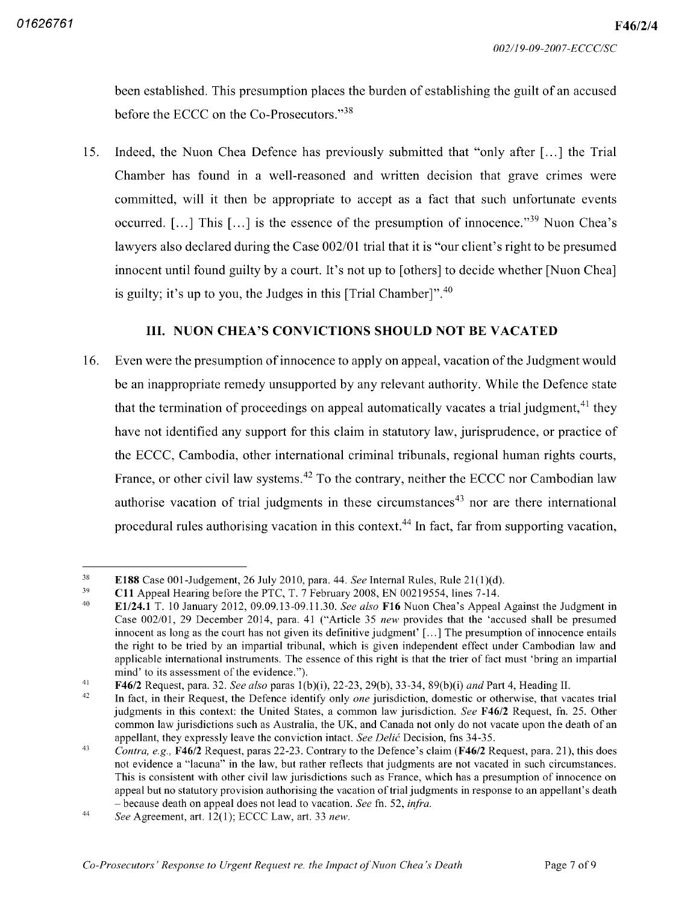been established. This presumption places the burden of establishing the guilt of an accused before the ECCC on the Co-Prosecutors."<sup>38</sup>

Indeed, the Nuon Chea Defence has previously submitted that "only after  $\lceil \ldots \rceil$  the Trial Chamber has found in a well-reasoned and written decision that grave crimes were committed, will it then be appropriate to accept as a fact that such unfortunate events occurred. [...] This [...] is the essence of the presumption of innocence."<sup>39</sup> Nuon Chea's lawyers also declared during the Case 002/01 trial that it is "our client's right to be presumed innocent until found guilty by a court. It's not up to [others] to decide whether [Nuon Chea] is guilty; it's up to you, the Judges in this [Trial Chamber]". $40$ 15

# III. NUON CHEA'S CONVICTIONS SHOULD NOT BE VACATED

16. Even were the presumption of innocence to apply on appeal, vacation of the Judgment would be an inappropriate remedy unsupported by any relevant authority While the Defence state that the termination of proceedings on appeal automatically vacates a trial judgment, $41$  they have not identified any support for this claim in statutory law, jurisprudence, or practice of the ECCC Cambodia other international criminal tribunals regional human rights courts France, or other civil law systems.<sup>42</sup> To the contrary, neither the ECCC nor Cambodian law authorise vacation of trial judgments in these circumstances<sup>43</sup> nor are there international procedural rules authorising vacation in this context.<sup>44</sup> In fact, far from supporting vacation,

<sup>38</sup> **E188** Case 001-Judgement, 26 July 2010, para. 44. *See* Internal Rules, Rule 21

C11 Appeal Hearing before the PTC, T. 7 February 2008, EN 00219554, lines 7-14. 39

E1/24.1 T. 10 January 2012, 09.09.13-09.11.30. See also F16 Nuon Chea's Appeal Against the Judgment in Case 002/01, 29 December 2014, para. 41 ("Article 35 new provides that the 'accused shall be presumed innocent as long as the court has not given its definitive judgment'  $[\dots]$  The presumption of innocence entails the right to be tried by an impartial tribunal which is given independent effect under Cambodian law and applicable international instruments. The essence of this right is that the trier of fact must 'bring an impartial mind' to its assessment of the evidence."). 40

F46/2 Request, para. 32. *See also* paras 1(b)(i), 22-23, 29(b), 33-34, 89(b)(i) *and* Part 4, Heading II. 41

In fact, in their Request, the Defence identify only *one* jurisdiction, domestic or otherwise, that vacates trial judgments in this context: the United States, a common law jurisdiction. See F46/2 Request, fn. 25. Other common law jurisdictions such as Australia, the UK, and Canada not only do not vacate upon the death of an appellant, they expressly leave the conviction intact. See Delic Decision, fns 34-35. 42

Contra, e.g., **F46/2** Request, paras 22-23. Contrary to the Defence's claim (**F46/2** Request, para. 21), this does not evidence a "lacuna" in the law, but rather reflects that judgments are not vacated in such circumstances. This is consistent with other civil law jurisdictions such as France, which has a presumption of innocence on appeal but no statutory provision authorising the vacation of trial judgments in response to an appellant's death - because death on appeal does not lead to vacation. See fn. 52, infra. 43

See Agreement, art. 12(1); ECCC Law, art. 33 new. 44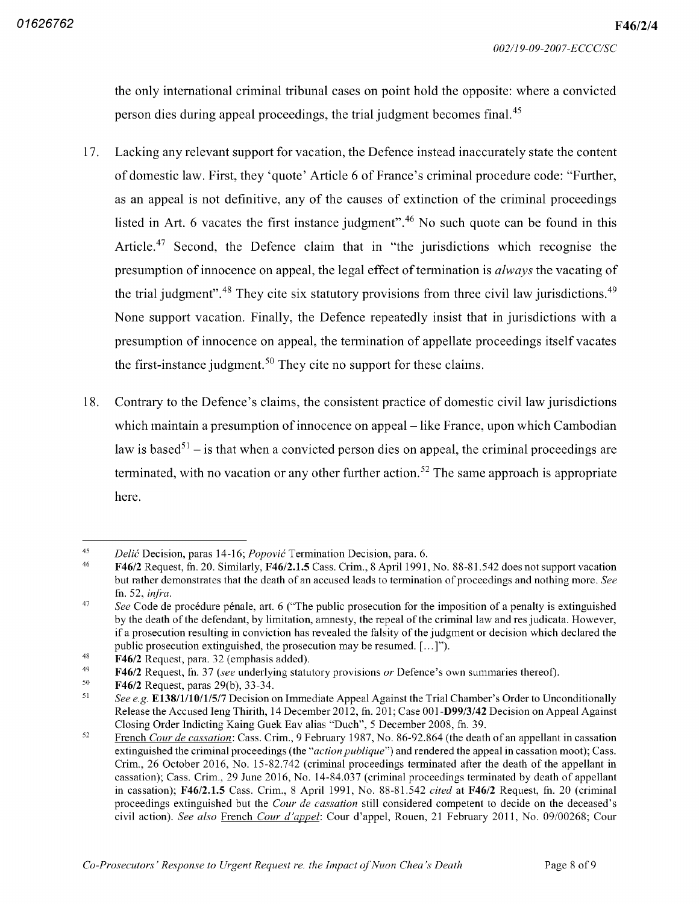the only international criminal tribunal cases on point hold the opposite: where a convicted person dies during appeal proceedings, the trial judgment becomes final.<sup>45</sup>

- <sup>17</sup> Lacking any relevant support for vacation the Defence instead inaccurately state the content of domestic law. First, they 'quote' Article 6 of France's criminal procedure code: "Further, as an appeal is not definitive, any of the causes of extinction of the criminal proceedings listed in Art. 6 vacates the first instance judgment".<sup>46</sup> No such quote can be found in this Article.<sup>47</sup> Second, the Defence claim that in "the jurisdictions which recognise the presumption of innocence on appeal, the legal effect of termination is *always* the vacating of the trial judgment".<sup>48</sup> They cite six statutory provisions from three civil law jurisdictions.<sup>49</sup> None support vacation. Finally, the Defence repeatedly insist that in jurisdictions with a presumption of innocence on appeal, the termination of appellate proceedings itself vacates the first-instance judgment.<sup>50</sup> They cite no support for these claims.
- Contrary to the Defence's claims, the consistent practice of domestic civil law jurisdictions which maintain a presumption of innocence on appeal – like France, upon which Cambodian law is based<sup>51</sup> – is that when a convicted person dies on appeal, the criminal proceedings are terminated, with no vacation or any other further action.<sup>52</sup> The same approach is appropriate here 18

<sup>45</sup> Delić Decision, paras 14-16; *Popović* Termination Decision, para.

 $F46/2$  Request, fn. 20. Similarly,  $F46/2.1.5$  Cass. Crim., 8 April 1991, No. 88-81.542 does not support vacation but rather demonstrates that the death of an accused leads to termination of proceedings and nothing more. See fn. 52, infra. 46

See Code de procédure pénale, art, 6 ("The public prosecution for the imposition of a penalty is extinguished by the death of the defendant, by limitation, amnesty, the repeal of the criminal law and res judicata. However, if a prosecution resulting in conviction has revealed the falsity of the judgment or decision which declared the public prosecution extinguished, the prosecution may be resumed.  $[...]$ "). 47

**F46/2** Request, para. 32 (emphasis added) 48

F46/2 Request, fn. 37 (see underlying statutory provisions or Defence's own summaries thereof) 49

**F46/2** Request, paras 29(b), 33-34. 50

See e.g. E138/1/10/1/5/7 Decision on Immediate Appeal Against the Trial Chamber's Order to Unconditionally Release the Accused Ieng Thirith, 14 December 2012, fn. 201; Case 001-D99/3/42 Decision on Appeal Against Closing Order Indicting Kaing Guek Eav alias "Duch", 5 December 2008, fn. 39. 51

French Cour de cassation: Cass. Crim., 9 February 1987, No. 86-92.864 (the death of an appellant in cassation extinguished the criminal proceedings (the "*action publique*") and rendered the appeal in cassation moot); Cass. Crim., 26 October 2016, No. 15-82.742 (criminal proceedings terminated after the death of the appellant in cassation); Cass. Crim., 29 June 2016, No. 14-84.037 (criminal proceedings terminated by death of appellant in cassation); F46/2.1.5 Cass. Crim., 8 April 1991, No. 88-81.542 cited at F46/2 Request, fn. 20 (criminal proceedings extinguished but the Cour de cassation still considered competent to decide on the deceased's civil action). See also French Cour d'appel: Cour d'appel, Rouen, 21 February 2011, No. 09/00268; Cour 52